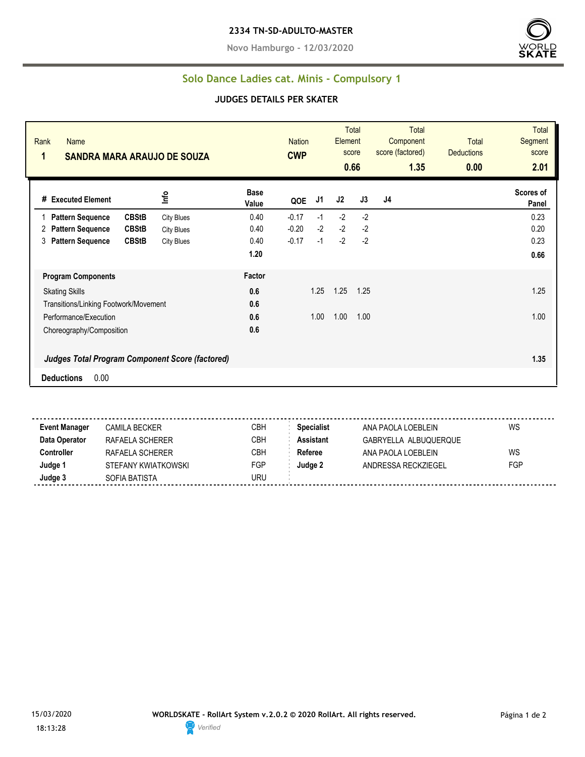**Novo Hamburgo - 12/03/2020**



## **Solo Dance Ladies cat. Minis - Compulsory 1**

## **JUDGES DETAILS PER SKATER**

| Rank<br><b>Name</b><br>1<br><b>SANDRA MARA ARAUJO DE SOUZA</b> |                   |                      | <b>Nation</b><br><b>CWP</b> |      | Element<br>score | Total<br>0.66 | <b>Total</b><br>Component<br>score (factored)<br>1.35 | <b>Total</b><br><b>Deductions</b><br>0.00 | <b>Total</b><br>Segment<br>score<br>2.01 |
|----------------------------------------------------------------|-------------------|----------------------|-----------------------------|------|------------------|---------------|-------------------------------------------------------|-------------------------------------------|------------------------------------------|
| # Executed Element                                             | Info              | <b>Base</b><br>Value | QOE                         | J1   | J2               | J3            | J4                                                    |                                           | Scores of<br>Panel                       |
| <b>CBStB</b><br><b>Pattern Sequence</b>                        | <b>City Blues</b> | 0.40                 | $-0.17$                     | $-1$ | $-2$             | $-2$          |                                                       |                                           | 0.23                                     |
| <b>CBStB</b><br><b>Pattern Sequence</b><br>2                   | <b>City Blues</b> | 0.40                 | $-0.20$                     | $-2$ | $-2$             | $-2$          |                                                       |                                           | 0.20                                     |
| <b>Pattern Sequence</b><br><b>CBStB</b><br>3                   | <b>City Blues</b> | 0.40                 | $-0.17$                     | $-1$ | $-2$             | $-2$          |                                                       |                                           | 0.23                                     |
|                                                                |                   | 1.20                 |                             |      |                  |               |                                                       |                                           | 0.66                                     |
| <b>Program Components</b>                                      |                   | Factor               |                             |      |                  |               |                                                       |                                           |                                          |
| <b>Skating Skills</b>                                          |                   | 0.6                  |                             | 1.25 | 1.25             | 1.25          |                                                       |                                           | 1.25                                     |
| Transitions/Linking Footwork/Movement                          |                   | 0.6                  |                             |      |                  |               |                                                       |                                           |                                          |
| Performance/Execution                                          |                   | 0.6                  |                             | 1.00 | 1.00             | 1.00          |                                                       |                                           | 1.00                                     |
| Choreography/Composition                                       |                   | 0.6                  |                             |      |                  |               |                                                       |                                           |                                          |
| <b>Judges Total Program Component Score (factored)</b>         |                   |                      |                             |      |                  |               |                                                       |                                           | 1.35                                     |
| 0.00<br><b>Deductions</b>                                      |                   |                      |                             |      |                  |               |                                                       |                                           |                                          |

a a a a a a **Event Manager** CAMILA BECKER CREA CBH **Specialist** ANA PAOLA LOEBLEIN WS **Data Operator** RAFAELA SCHERER CBH **Assistant** GABRYELLA ALBUQUERQUE **Controller** RAFAELA SCHERER CBH **Referee** ANA PAOLA LOEBLEIN WS **Judge 1** STEFANY KWIATKOWSKI FGP **Judge 2** ANDRESSA RECKZIEGEL FGP **Judge 3** SOFIA BATISTA SOFIA BATISTA